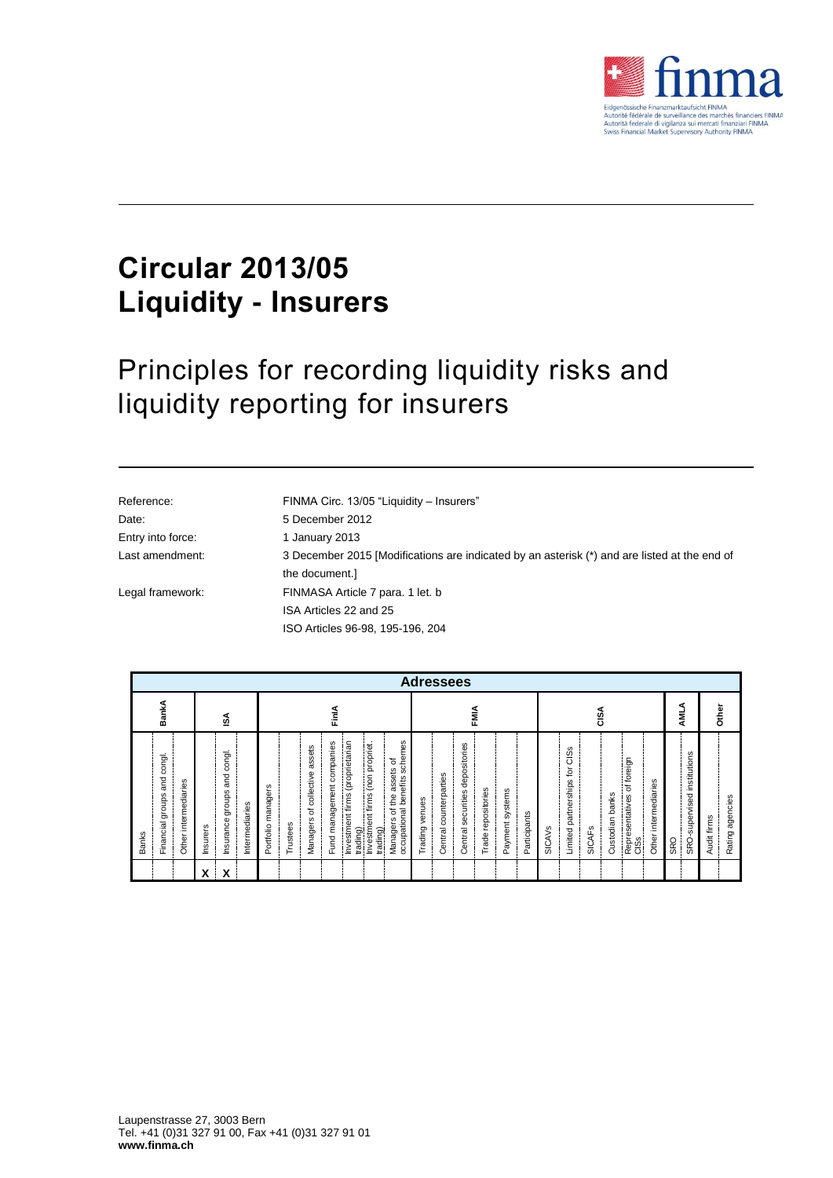

## **Circular 2013/05 Liquidity - Insurers**

## Principles for recording liquidity risks and liquidity reporting for insurers

| Reference:        | FINMA Circ. 13/05 "Liquidity - Insurers"                                                     |
|-------------------|----------------------------------------------------------------------------------------------|
| Date:             | 5 December 2012                                                                              |
| Entry into force: | 1 January 2013                                                                               |
| Last amendment:   | 3 December 2015 [Modifications are indicated by an asterisk (*) and are listed at the end of |
|                   | the document.                                                                                |
| Legal framework:  | FINMASA Article 7 para. 1 let. b                                                             |
|                   | ISA Articles 22 and 25                                                                       |
|                   | ISO Articles 96-98, 195-196, 204                                                             |
|                   |                                                                                              |

| <b>Adressees</b>                                                                |                                                                             |                                                                                                                                                                                                                                                                                              |                                                                                                                                                |                                                                                                                                                                 |                                    |                                |  |  |  |
|---------------------------------------------------------------------------------|-----------------------------------------------------------------------------|----------------------------------------------------------------------------------------------------------------------------------------------------------------------------------------------------------------------------------------------------------------------------------------------|------------------------------------------------------------------------------------------------------------------------------------------------|-----------------------------------------------------------------------------------------------------------------------------------------------------------------|------------------------------------|--------------------------------|--|--|--|
| BankA                                                                           | ₫                                                                           | FinlA                                                                                                                                                                                                                                                                                        | FMIA                                                                                                                                           | CISA                                                                                                                                                            | ∢<br>틯                             | Other                          |  |  |  |
| congl.<br>and<br>intermediaries<br>groups<br>Financial<br><b>Banks</b><br>Other | congl.<br>and<br>groups<br>Intermediaries<br>Insurance<br>nsurers<br>X<br>Χ | schemes<br>Investment firms (proprietarian<br>companies<br>(non propriet.<br>assets<br>ъ<br>assets<br>of collective<br>occupational benefits<br>Fund management<br>Portfolio managers<br>Investment firms<br>$\overline{f}$<br>৳<br>Managers<br>Managers<br>Trustees<br>trading)<br>trading) | depositories<br>Central counterparties<br>Trade repositories<br>Payment systems<br>securities<br>Trading venues<br>Participants<br>entral<br>ပ | CISS<br>foreign<br>Į<br>Limited partnerships<br>intermediaries<br>đ<br>banks<br>Representatives<br>Custodian<br><b>SICAVS</b><br><b>SICAFS</b><br>Other<br>CISS | SRO-supervised institutions<br>SRO | Rating agencies<br>Audit firms |  |  |  |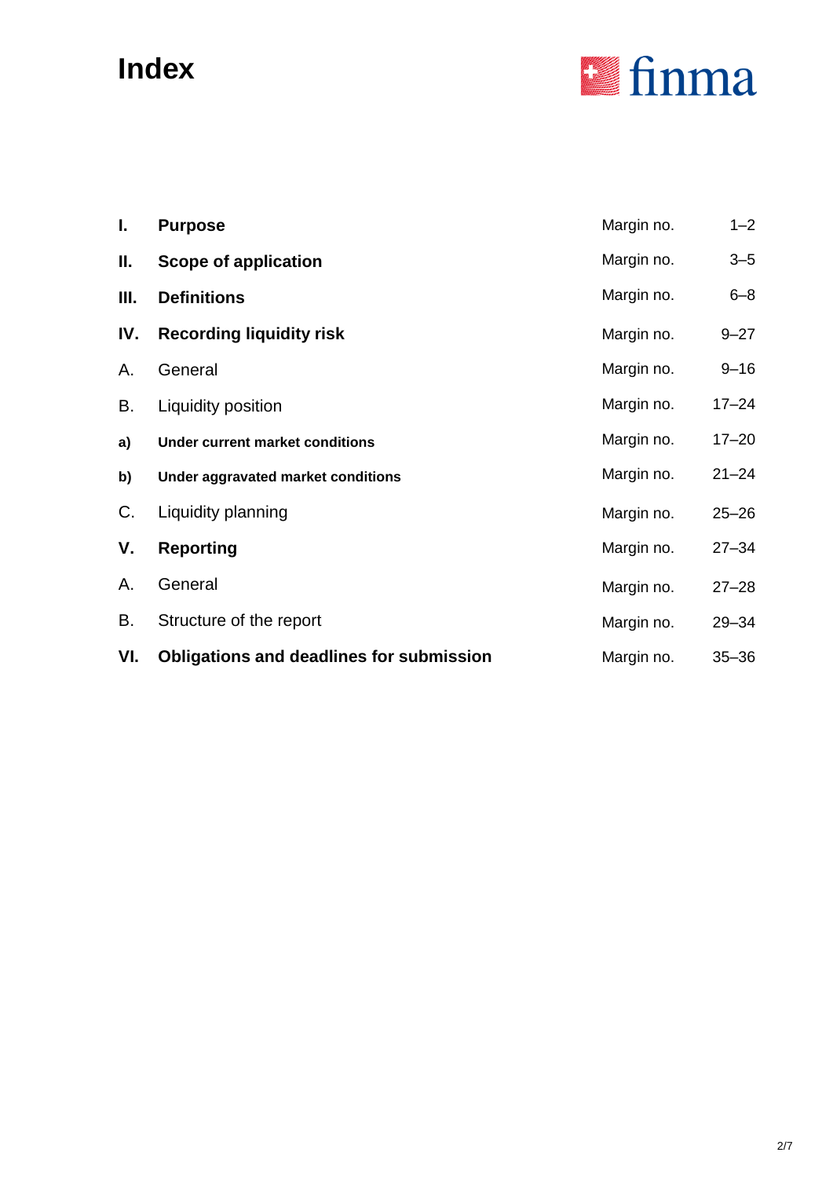# **Index**



| I.   | <b>Purpose</b>                                  | Margin no. | $1 - 2$   |
|------|-------------------------------------------------|------------|-----------|
| II.  | Scope of application                            | Margin no. | $3 - 5$   |
| III. | <b>Definitions</b>                              | Margin no. | $6 - 8$   |
| IV.  | <b>Recording liquidity risk</b>                 | Margin no. | $9 - 27$  |
| А.   | General                                         | Margin no. | $9 - 16$  |
| В.   | Liquidity position                              | Margin no. | $17 - 24$ |
| a)   | <b>Under current market conditions</b>          | Margin no. | $17 - 20$ |
| b)   | Under aggravated market conditions              | Margin no. | $21 - 24$ |
| C.   | Liquidity planning                              | Margin no. | $25 - 26$ |
| ٧.   | <b>Reporting</b>                                | Margin no. | $27 - 34$ |
| А.   | General                                         | Margin no. | $27 - 28$ |
| В.   | Structure of the report                         | Margin no. | $29 - 34$ |
| VI.  | <b>Obligations and deadlines for submission</b> | Margin no. | $35 - 36$ |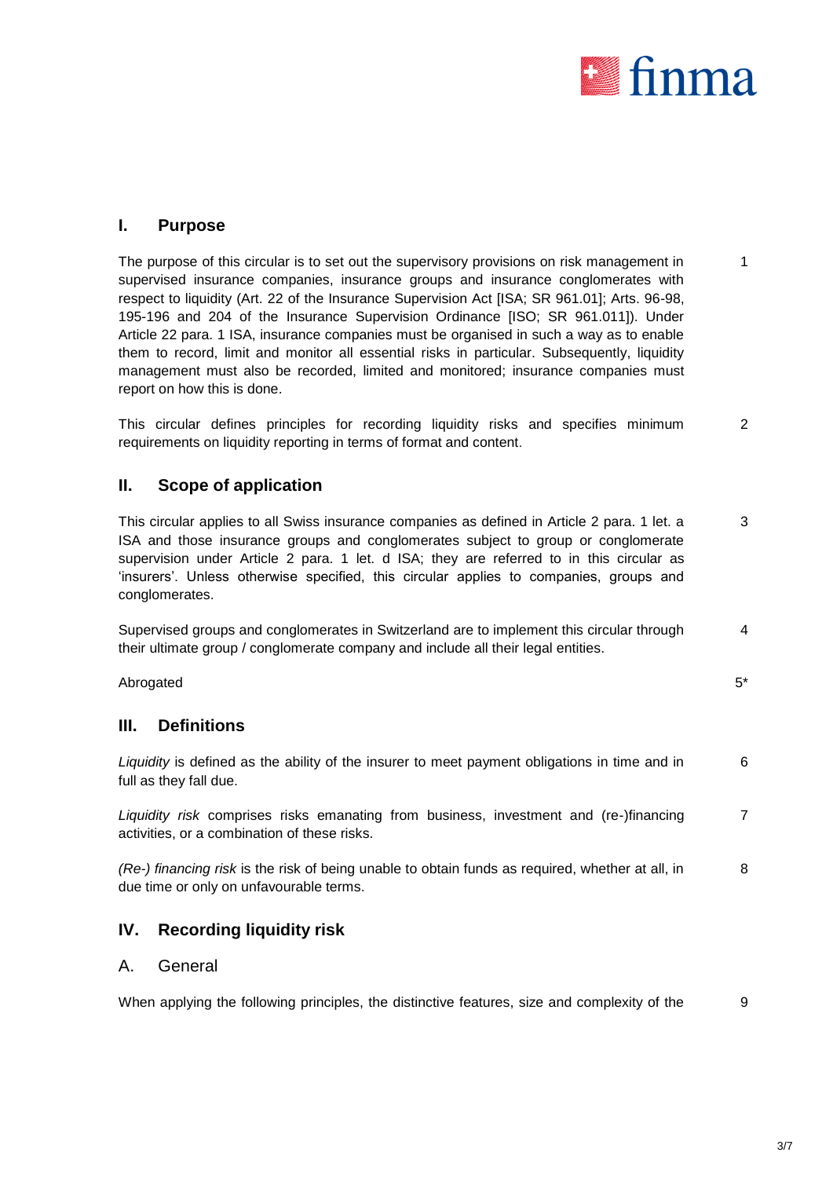

## **I. Purpose**

The purpose of this circular is to set out the supervisory provisions on risk management in supervised insurance companies, insurance groups and insurance conglomerates with respect to liquidity (Art. 22 of the Insurance Supervision Act [ISA; SR 961.01]; Arts. 96-98, 195-196 and 204 of the Insurance Supervision Ordinance [ISO; SR 961.011]). Under Article 22 para. 1 ISA, insurance companies must be organised in such a way as to enable them to record, limit and monitor all essential risks in particular. Subsequently, liquidity management must also be recorded, limited and monitored; insurance companies must report on how this is done. 1

This circular defines principles for recording liquidity risks and specifies minimum requirements on liquidity reporting in terms of format and content.  $\overline{2}$ 

### **II. Scope of application**

This circular applies to all Swiss insurance companies as defined in Article 2 para. 1 let. a ISA and those insurance groups and conglomerates subject to group or conglomerate supervision under Article 2 para. 1 let. d ISA; they are referred to in this circular as 'insurers'. Unless otherwise specified, this circular applies to companies, groups and conglomerates. 3

Supervised groups and conglomerates in Switzerland are to implement this circular through their ultimate group / conglomerate company and include all their legal entities. 4

 $\,$  Abrogated  $\,$  5\*  $\,$ 

## **III. Definitions**

*Liquidity* is defined as the ability of the insurer to meet payment obligations in time and in full as they fall due. 6

*Liquidity risk* comprises risks emanating from business, investment and (re-)financing activities, or a combination of these risks. 7

*(Re-) financing risk* is the risk of being unable to obtain funds as required, whether at all, in due time or only on unfavourable terms. 8

## **IV. Recording liquidity risk**

#### A. General

When applying the following principles, the distinctive features, size and complexity of the 9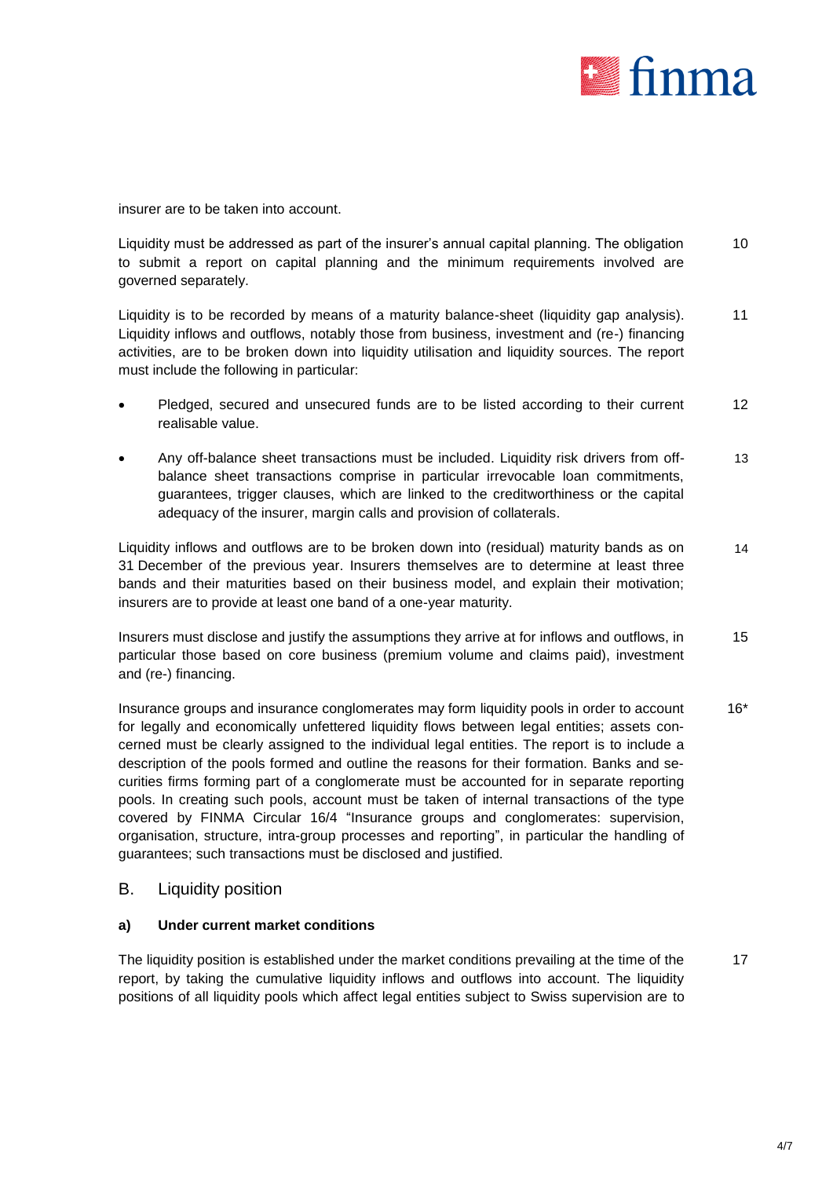

insurer are to be taken into account.

Liquidity must be addressed as part of the insurer's annual capital planning. The obligation to submit a report on capital planning and the minimum requirements involved are governed separately. 10

Liquidity is to be recorded by means of a maturity balance-sheet (liquidity gap analysis). Liquidity inflows and outflows, notably those from business, investment and (re-) financing activities, are to be broken down into liquidity utilisation and liquidity sources. The report must include the following in particular: 11

- Pledged, secured and unsecured funds are to be listed according to their current realisable value. 12
- Any off-balance sheet transactions must be included. Liquidity risk drivers from offbalance sheet transactions comprise in particular irrevocable loan commitments, guarantees, trigger clauses, which are linked to the creditworthiness or the capital adequacy of the insurer, margin calls and provision of collaterals. 13

Liquidity inflows and outflows are to be broken down into (residual) maturity bands as on 31 December of the previous year. Insurers themselves are to determine at least three bands and their maturities based on their business model, and explain their motivation; insurers are to provide at least one band of a one-year maturity. 14

Insurers must disclose and justify the assumptions they arrive at for inflows and outflows, in particular those based on core business (premium volume and claims paid), investment and (re-) financing. 15

Insurance groups and insurance conglomerates may form liquidity pools in order to account for legally and economically unfettered liquidity flows between legal entities; assets concerned must be clearly assigned to the individual legal entities. The report is to include a description of the pools formed and outline the reasons for their formation. Banks and securities firms forming part of a conglomerate must be accounted for in separate reporting pools. In creating such pools, account must be taken of internal transactions of the type covered by FINMA Circular 16/4 "Insurance groups and conglomerates: supervision, organisation, structure, intra-group processes and reporting", in particular the handling of guarantees; such transactions must be disclosed and justified. 16\*

#### B. Liquidity position

#### **a) Under current market conditions**

The liquidity position is established under the market conditions prevailing at the time of the report, by taking the cumulative liquidity inflows and outflows into account. The liquidity positions of all liquidity pools which affect legal entities subject to Swiss supervision are to 17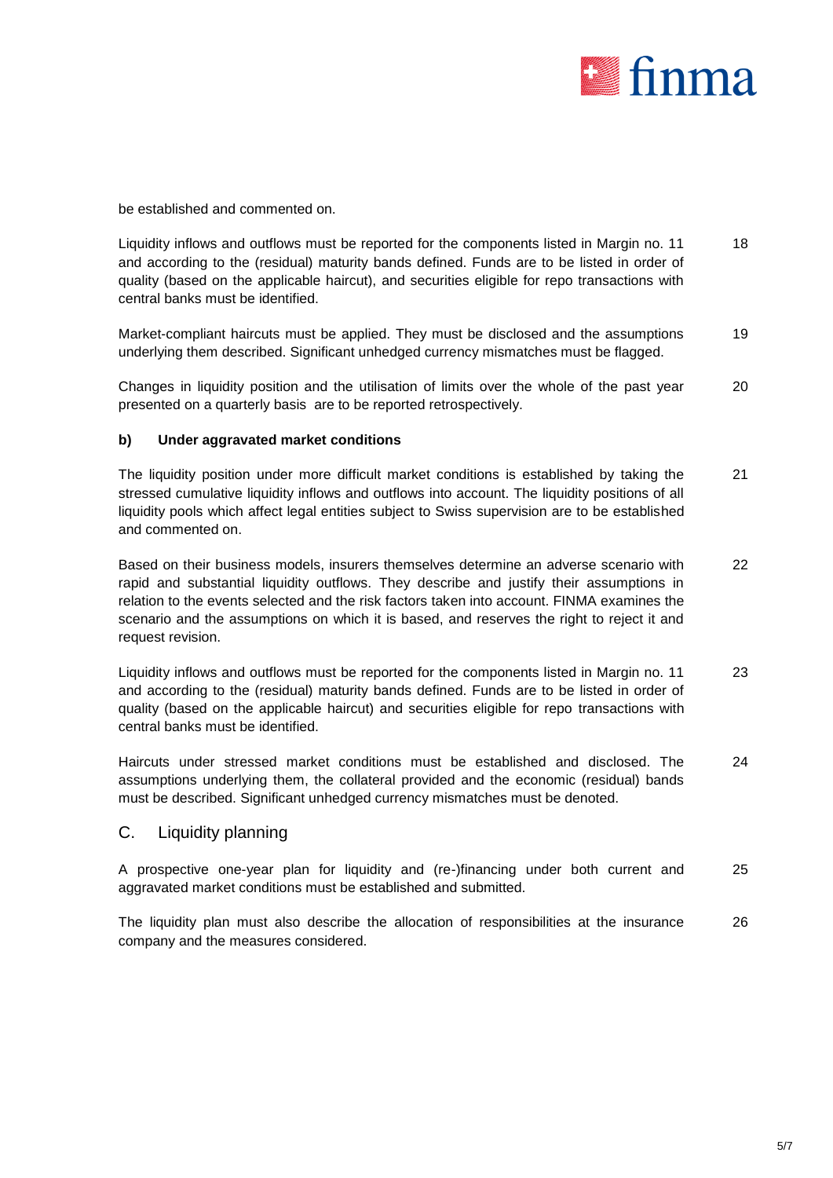

be established and commented on.

Liquidity inflows and outflows must be reported for the components listed in Margin no. 11 and according to the (residual) maturity bands defined. Funds are to be listed in order of quality (based on the applicable haircut), and securities eligible for repo transactions with central banks must be identified. 18

Market-compliant haircuts must be applied. They must be disclosed and the assumptions underlying them described. Significant unhedged currency mismatches must be flagged. 19

Changes in liquidity position and the utilisation of limits over the whole of the past year presented on a quarterly basis are to be reported retrospectively. 20

#### **b) Under aggravated market conditions**

The liquidity position under more difficult market conditions is established by taking the stressed cumulative liquidity inflows and outflows into account. The liquidity positions of all liquidity pools which affect legal entities subject to Swiss supervision are to be established and commented on. 21

Based on their business models, insurers themselves determine an adverse scenario with rapid and substantial liquidity outflows. They describe and justify their assumptions in relation to the events selected and the risk factors taken into account. FINMA examines the scenario and the assumptions on which it is based, and reserves the right to reject it and request revision. 22

Liquidity inflows and outflows must be reported for the components listed in Margin no. 11 and according to the (residual) maturity bands defined. Funds are to be listed in order of quality (based on the applicable haircut) and securities eligible for repo transactions with central banks must be identified. 23

Haircuts under stressed market conditions must be established and disclosed. The assumptions underlying them, the collateral provided and the economic (residual) bands must be described. Significant unhedged currency mismatches must be denoted. 24

#### C. Liquidity planning

A prospective one-year plan for liquidity and (re-)financing under both current and aggravated market conditions must be established and submitted. 25

The liquidity plan must also describe the allocation of responsibilities at the insurance company and the measures considered. 26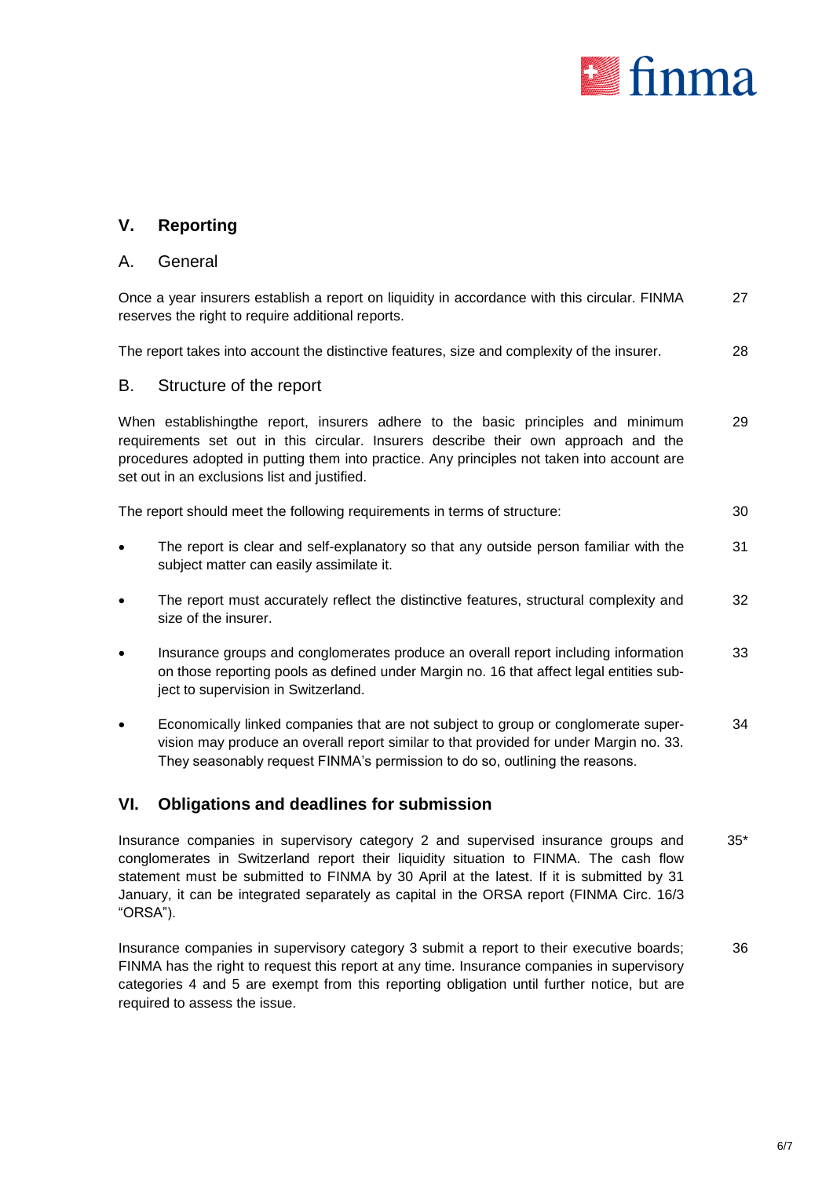

## **V. Reporting**

#### A. General

Once a year insurers establish a report on liquidity in accordance with this circular. FINMA reserves the right to require additional reports. 27

The report takes into account the distinctive features, size and complexity of the insurer. 28

#### B. Structure of the report

When establishingthe report, insurers adhere to the basic principles and minimum requirements set out in this circular. Insurers describe their own approach and the procedures adopted in putting them into practice. Any principles not taken into account are set out in an exclusions list and justified. 29

| The report should meet the following requirements in terms of structure: | 30 |
|--------------------------------------------------------------------------|----|
|--------------------------------------------------------------------------|----|

- The report is clear and self-explanatory so that any outside person familiar with the subject matter can easily assimilate it. 31
- The report must accurately reflect the distinctive features, structural complexity and size of the insurer. 32
- Insurance groups and conglomerates produce an overall report including information on those reporting pools as defined under Margin no. 16 that affect legal entities subject to supervision in Switzerland. 33
- Economically linked companies that are not subject to group or conglomerate supervision may produce an overall report similar to that provided for under Margin no. 33. They seasonably request FINMA's permission to do so, outlining the reasons.  $34$

## **VI. Obligations and deadlines for submission**

Insurance companies in supervisory category 2 and supervised insurance groups and conglomerates in Switzerland report their liquidity situation to FINMA. The cash flow statement must be submitted to FINMA by 30 April at the latest. If it is submitted by 31 January, it can be integrated separately as capital in the ORSA report (FINMA Circ. 16/3 "ORSA"). 35\*

Insurance companies in supervisory category 3 submit a report to their executive boards; FINMA has the right to request this report at any time. Insurance companies in supervisory categories 4 and 5 are exempt from this reporting obligation until further notice, but are required to assess the issue. 36